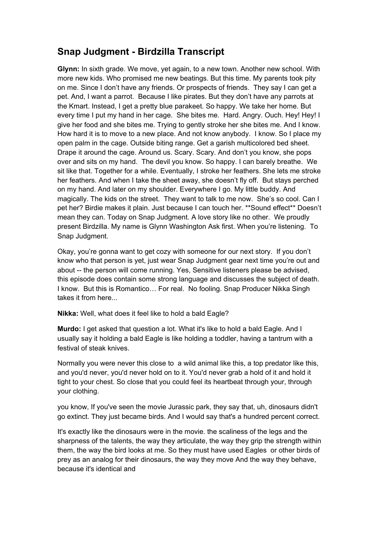## **Snap Judgment - Birdzilla Transcript**

**Glynn:** In sixth grade. We move, yet again, to a new town. Another new school. With more new kids. Who promised me new beatings. But this time. My parents took pity on me. Since I don't have any friends. Or prospects of friends. They say I can get a pet. And, I want a parrot. Because I like pirates. But they don't have any parrots at the Kmart. Instead, I get a pretty blue parakeet. So happy. We take her home. But every time I put my hand in her cage. She bites me. Hard. Angry. Ouch. Hey! Hey! I give her food and she bites me. Trying to gently stroke her she bites me. And I know. How hard it is to move to a new place. And not know anybody. I know. So I place my open palm in the cage. Outside biting range. Get a garish multicolored bed sheet. Drape it around the cage. Around us. Scary. Scary. And don't you know, she pops over and sits on my hand. The devil you know. So happy. I can barely breathe. We sit like that. Together for a while. Eventually, I stroke her feathers. She lets me stroke her feathers. And when I take the sheet away, she doesn't fly off. But stays perched on my hand. And later on my shoulder. Everywhere I go. My little buddy. And magically. The kids on the street. They want to talk to me now. She's so cool. Can I pet her? Birdie makes it plain. Just because I can touch her. \*\*Sound effect\*\* Doesn't mean they can. Today on Snap Judgment. A love story like no other. We proudly present Birdzilla. My name is Glynn Washington Ask first. When you're listening. To Snap Judgment.

Okay, you're gonna want to get cozy with someone for our next story. If you don't know who that person is yet, just wear Snap Judgment gear next time you're out and about -- the person will come running. Yes, Sensitive listeners please be advised, this episode does contain some strong language and discusses the subject of death. I know. But this is Romantico… For real. No fooling. Snap Producer Nikka Singh takes it from here...

**Nikka:** Well, what does it feel like to hold a bald Eagle?

**Murdo:** I get asked that question a lot. What it's like to hold a bald Eagle. And I usually say it holding a bald Eagle is like holding a toddler, having a tantrum with a festival of steak knives.

Normally you were never this close to a wild animal like this, a top predator like this, and you'd never, you'd never hold on to it. You'd never grab a hold of it and hold it tight to your chest. So close that you could feel its heartbeat through your, through your clothing.

you know, If you've seen the movie Jurassic park, they say that, uh, dinosaurs didn't go extinct. They just became birds. And I would say that's a hundred percent correct.

It's exactly like the dinosaurs were in the movie. the scaliness of the legs and the sharpness of the talents, the way they articulate, the way they grip the strength within them, the way the bird looks at me. So they must have used Eagles or other birds of prey as an analog for their dinosaurs, the way they move And the way they behave, because it's identical and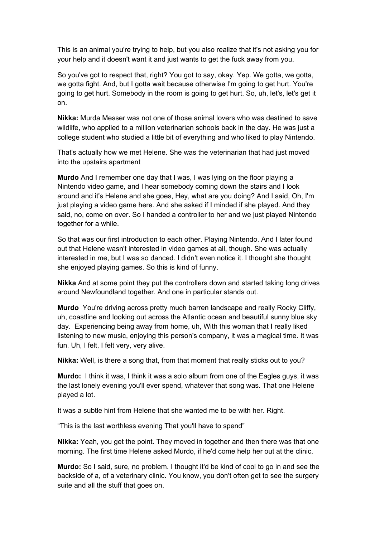This is an animal you're trying to help, but you also realize that it's not asking you for your help and it doesn't want it and just wants to get the fuck away from you.

So you've got to respect that, right? You got to say, okay. Yep. We gotta, we gotta, we gotta fight. And, but I gotta wait because otherwise I'm going to get hurt. You're going to get hurt. Somebody in the room is going to get hurt. So, uh, let's, let's get it on.

**Nikka:** Murda Messer was not one of those animal lovers who was destined to save wildlife, who applied to a million veterinarian schools back in the day. He was just a college student who studied a little bit of everything and who liked to play Nintendo.

That's actually how we met Helene. She was the veterinarian that had just moved into the upstairs apartment

**Murdo** And I remember one day that I was, I was lying on the floor playing a Nintendo video game, and I hear somebody coming down the stairs and I look around and it's Helene and she goes, Hey, what are you doing? And I said, Oh, I'm just playing a video game here. And she asked if I minded if she played. And they said, no, come on over. So I handed a controller to her and we just played Nintendo together for a while.

So that was our first introduction to each other. Playing Nintendo. And I later found out that Helene wasn't interested in video games at all, though. She was actually interested in me, but I was so danced. I didn't even notice it. I thought she thought she enjoyed playing games. So this is kind of funny.

**Nikka** And at some point they put the controllers down and started taking long drives around Newfoundland together. And one in particular stands out.

**Murdo** You're driving across pretty much barren landscape and really Rocky Cliffy, uh, coastline and looking out across the Atlantic ocean and beautiful sunny blue sky day. Experiencing being away from home, uh, With this woman that I really liked listening to new music, enjoying this person's company, it was a magical time. It was fun. Uh, I felt, I felt very, very alive.

**Nikka:** Well, is there a song that, from that moment that really sticks out to you?

**Murdo:** I think it was, I think it was a solo album from one of the Eagles guys, it was the last lonely evening you'll ever spend, whatever that song was. That one Helene played a lot.

It was a subtle hint from Helene that she wanted me to be with her. Right.

"This is the last worthless evening That you'll have to spend"

**Nikka:** Yeah, you get the point. They moved in together and then there was that one morning. The first time Helene asked Murdo, if he'd come help her out at the clinic.

**Murdo:** So I said, sure, no problem. I thought it'd be kind of cool to go in and see the backside of a, of a veterinary clinic. You know, you don't often get to see the surgery suite and all the stuff that goes on.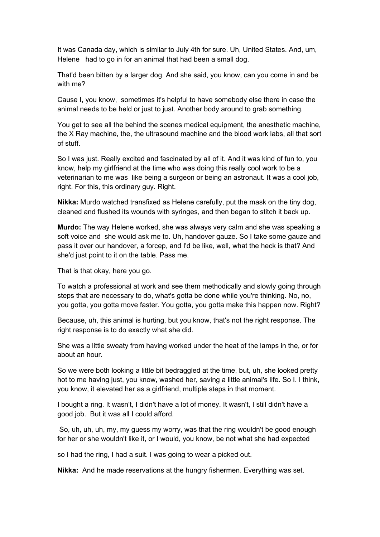It was Canada day, which is similar to July 4th for sure. Uh, United States. And, um, Helene had to go in for an animal that had been a small dog.

That'd been bitten by a larger dog. And she said, you know, can you come in and be with me?

Cause I, you know, sometimes it's helpful to have somebody else there in case the animal needs to be held or just to just. Another body around to grab something.

You get to see all the behind the scenes medical equipment, the anesthetic machine, the X Ray machine, the, the ultrasound machine and the blood work labs, all that sort of stuff.

So I was just. Really excited and fascinated by all of it. And it was kind of fun to, you know, help my girlfriend at the time who was doing this really cool work to be a veterinarian to me was like being a surgeon or being an astronaut. It was a cool job, right. For this, this ordinary guy. Right.

**Nikka:** Murdo watched transfixed as Helene carefully, put the mask on the tiny dog, cleaned and flushed its wounds with syringes, and then began to stitch it back up.

**Murdo:** The way Helene worked, she was always very calm and she was speaking a soft voice and she would ask me to. Uh, handover gauze. So I take some gauze and pass it over our handover, a forcep, and I'd be like, well, what the heck is that? And she'd just point to it on the table. Pass me.

That is that okay, here you go.

To watch a professional at work and see them methodically and slowly going through steps that are necessary to do, what's gotta be done while you're thinking. No, no, you gotta, you gotta move faster. You gotta, you gotta make this happen now. Right?

Because, uh, this animal is hurting, but you know, that's not the right response. The right response is to do exactly what she did.

She was a little sweaty from having worked under the heat of the lamps in the, or for about an hour.

So we were both looking a little bit bedraggled at the time, but, uh, she looked pretty hot to me having just, you know, washed her, saving a little animal's life. So I. I think, you know, it elevated her as a girlfriend, multiple steps in that moment.

I bought a ring. It wasn't, I didn't have a lot of money. It wasn't, I still didn't have a good job. But it was all I could afford.

So, uh, uh, uh, my, my guess my worry, was that the ring wouldn't be good enough for her or she wouldn't like it, or I would, you know, be not what she had expected

so I had the ring, I had a suit. I was going to wear a picked out.

**Nikka:** And he made reservations at the hungry fishermen. Everything was set.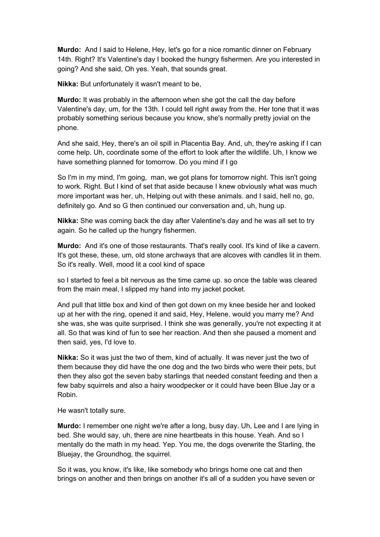**Murdo:** And I said to Helene, Hey, let's go for a nice romantic dinner on February 14th. Right? It's Valentine's day I booked the hungry fishermen. Are you interested in going? And she said, Oh yes. Yeah, that sounds great.

**Nikka:** But unfortunately it wasn't meant to be,

**Murdo:** It was probably in the afternoon when she got the call the day before Valentine's day, um, for the 13th. I could tell right away from the. Her tone that it was probably something serious because you know, she's normally pretty jovial on the phone.

And she said, Hey, there's an oil spill in Placentia Bay. And, uh, they're asking if I can come help. Uh, coordinate some of the effort to look after the wildlife. Uh, I know we have something planned for tomorrow. Do you mind if I go

So I'm in my mind, I'm going, man, we got plans for tomorrow night. This isn't going to work. Right. But I kind of set that aside because I knew obviously what was much more important was her, uh, Helping out with these animals. and I said, hell no, go, definitely go. And so G then continued our conversation and, uh, hung up.

**Nikka:** She was coming back the day after Valentine's day and he was all set to try again. So he called up the hungry fishermen.

**Murdo:** And it's one of those restaurants. That's really cool. It's kind of like a cavern. It's got these, these, um, old stone archways that are alcoves with candles lit in them. So it's really. Well, mood lit a cool kind of space

so I started to feel a bit nervous as the time came up. so once the table was cleared from the main meal, I slipped my hand into my jacket pocket.

And pull that little box and kind of then got down on my knee beside her and looked up at her with the ring, opened it and said, Hey, Helene, would you marry me? And she was, she was quite surprised. I think she was generally, you're not expecting it at all. So that was kind of fun to see her reaction. And then she paused a moment and then said, yes, I'd love to.

**Nikka:** So it was just the two of them, kind of actually. It was never just the two of them because they did have the one dog and the two birds who were their pets, but then they also got the seven baby starlings that needed constant feeding and then a few baby squirrels and also a hairy woodpecker or it could have been Blue Jay or a Robin.

He wasn't totally sure.

**Murdo:** I remember one night we're after a long, busy day. Uh, Lee and I are lying in bed. She would say, uh, there are nine heartbeats in this house. Yeah. And so I mentally do the math in my head. Yep. You me, the dogs overwrite the Starling, the Bluejay, the Groundhog, the squirrel.

So it was, you know, it's like, like somebody who brings home one cat and then brings on another and then brings on another it's all of a sudden you have seven or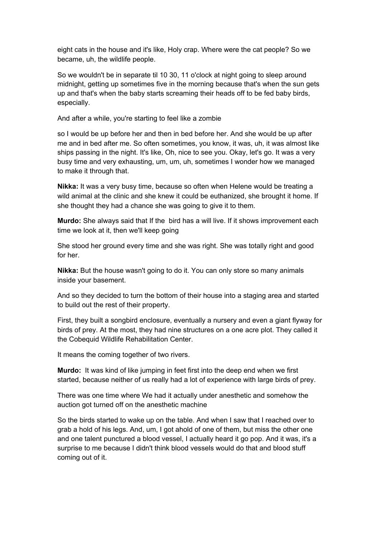eight cats in the house and it's like, Holy crap. Where were the cat people? So we became, uh, the wildlife people.

So we wouldn't be in separate til 10 30, 11 o'clock at night going to sleep around midnight, getting up sometimes five in the morning because that's when the sun gets up and that's when the baby starts screaming their heads off to be fed baby birds, especially.

And after a while, you're starting to feel like a zombie

so I would be up before her and then in bed before her. And she would be up after me and in bed after me. So often sometimes, you know, it was, uh, it was almost like ships passing in the night. It's like, Oh, nice to see you. Okay, let's go. It was a very busy time and very exhausting, um, um, uh, sometimes I wonder how we managed to make it through that.

**Nikka:** It was a very busy time, because so often when Helene would be treating a wild animal at the clinic and she knew it could be euthanized, she brought it home. If she thought they had a chance she was going to give it to them.

**Murdo:** She always said that If the bird has a will live. If it shows improvement each time we look at it, then we'll keep going

She stood her ground every time and she was right. She was totally right and good for her.

**Nikka:** But the house wasn't going to do it. You can only store so many animals inside your basement.

And so they decided to turn the bottom of their house into a staging area and started to build out the rest of their property.

First, they built a songbird enclosure, eventually a nursery and even a giant flyway for birds of prey. At the most, they had nine structures on a one acre plot. They called it the Cobequid Wildlife Rehabilitation Center.

It means the coming together of two rivers.

**Murdo:** It was kind of like jumping in feet first into the deep end when we first started, because neither of us really had a lot of experience with large birds of prey.

There was one time where We had it actually under anesthetic and somehow the auction got turned off on the anesthetic machine

So the birds started to wake up on the table. And when I saw that I reached over to grab a hold of his legs. And, um, I got ahold of one of them, but miss the other one and one talent punctured a blood vessel, I actually heard it go pop. And it was, it's a surprise to me because I didn't think blood vessels would do that and blood stuff coming out of it.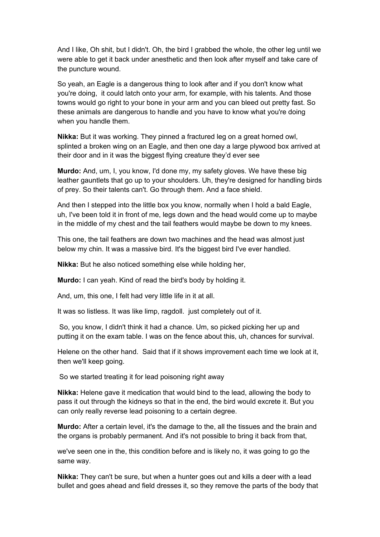And I like, Oh shit, but I didn't. Oh, the bird I grabbed the whole, the other leg until we were able to get it back under anesthetic and then look after myself and take care of the puncture wound.

So yeah, an Eagle is a dangerous thing to look after and if you don't know what you're doing, it could latch onto your arm, for example, with his talents. And those towns would go right to your bone in your arm and you can bleed out pretty fast. So these animals are dangerous to handle and you have to know what you're doing when you handle them.

**Nikka:** But it was working. They pinned a fractured leg on a great horned owl, splinted a broken wing on an Eagle, and then one day a large plywood box arrived at their door and in it was the biggest flying creature they'd ever see

**Murdo:** And, um, I, you know, I'd done my, my safety gloves. We have these big leather gauntlets that go up to your shoulders. Uh, they're designed for handling birds of prey. So their talents can't. Go through them. And a face shield.

And then I stepped into the little box you know, normally when I hold a bald Eagle, uh, I've been told it in front of me, legs down and the head would come up to maybe in the middle of my chest and the tail feathers would maybe be down to my knees.

This one, the tail feathers are down two machines and the head was almost just below my chin. It was a massive bird. It's the biggest bird I've ever handled.

**Nikka:** But he also noticed something else while holding her,

**Murdo:** I can yeah. Kind of read the bird's body by holding it.

And, um, this one, I felt had very little life in it at all.

It was so listless. It was like limp, ragdoll. just completely out of it.

So, you know, I didn't think it had a chance. Um, so picked picking her up and putting it on the exam table. I was on the fence about this, uh, chances for survival.

Helene on the other hand. Said that if it shows improvement each time we look at it, then we'll keep going.

So we started treating it for lead poisoning right away

**Nikka:** Helene gave it medication that would bind to the lead, allowing the body to pass it out through the kidneys so that in the end, the bird would excrete it. But you can only really reverse lead poisoning to a certain degree.

**Murdo:** After a certain level, it's the damage to the, all the tissues and the brain and the organs is probably permanent. And it's not possible to bring it back from that,

we've seen one in the, this condition before and is likely no, it was going to go the same way.

**Nikka:** They can't be sure, but when a hunter goes out and kills a deer with a lead bullet and goes ahead and field dresses it, so they remove the parts of the body that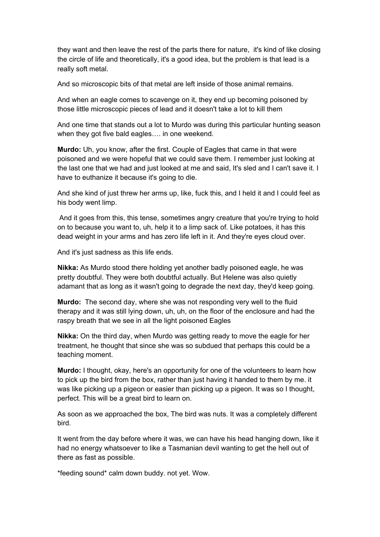they want and then leave the rest of the parts there for nature, it's kind of like closing the circle of life and theoretically, it's a good idea, but the problem is that lead is a really soft metal.

And so microscopic bits of that metal are left inside of those animal remains.

And when an eagle comes to scavenge on it, they end up becoming poisoned by those little microscopic pieces of lead and it doesn't take a lot to kill them

And one time that stands out a lot to Murdo was during this particular hunting season when they got five bald eagles…. in one weekend.

**Murdo:** Uh, you know, after the first. Couple of Eagles that came in that were poisoned and we were hopeful that we could save them. I remember just looking at the last one that we had and just looked at me and said, It's sled and I can't save it. I have to euthanize it because it's going to die.

And she kind of just threw her arms up, like, fuck this, and I held it and I could feel as his body went limp.

And it goes from this, this tense, sometimes angry creature that you're trying to hold on to because you want to, uh, help it to a limp sack of. Like potatoes, it has this dead weight in your arms and has zero life left in it. And they're eyes cloud over.

And it's just sadness as this life ends.

**Nikka:** As Murdo stood there holding yet another badly poisoned eagle, he was pretty doubtful. They were both doubtful actually. But Helene was also quietly adamant that as long as it wasn't going to degrade the next day, they'd keep going.

**Murdo:** The second day, where she was not responding very well to the fluid therapy and it was still lying down, uh, uh, on the floor of the enclosure and had the raspy breath that we see in all the light poisoned Eagles

**Nikka:** On the third day, when Murdo was getting ready to move the eagle for her treatment, he thought that since she was so subdued that perhaps this could be a teaching moment.

**Murdo:** I thought, okay, here's an opportunity for one of the volunteers to learn how to pick up the bird from the box, rather than just having it handed to them by me. it was like picking up a pigeon or easier than picking up a pigeon. It was so I thought, perfect. This will be a great bird to learn on.

As soon as we approached the box, The bird was nuts. It was a completely different bird.

It went from the day before where it was, we can have his head hanging down, like it had no energy whatsoever to like a Tasmanian devil wanting to get the hell out of there as fast as possible.

\*feeding sound\* calm down buddy. not yet. Wow.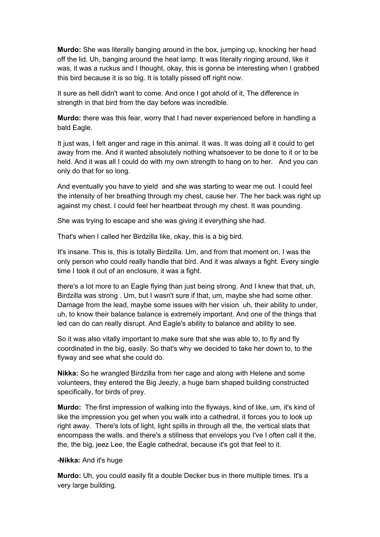**Murdo:** She was literally banging around in the box, jumping up, knocking her head off the lid. Uh, banging around the heat lamp. It was literally ringing around, like it was, it was a ruckus and I thought, okay, this is gonna be interesting when I grabbed this bird because it is so big. It is totally pissed off right now.

It sure as hell didn't want to come. And once I got ahold of it, The difference in strength in that bird from the day before was incredible.

**Murdo:** there was this fear, worry that I had never experienced before in handling a bald Eagle.

It just was, I felt anger and rage in this animal. It was. It was doing all it could to get away from me. And it wanted absolutely nothing whatsoever to be done to it or to be held. And it was all I could do with my own strength to hang on to her. And you can only do that for so long.

And eventually you have to yield and she was starting to wear me out. I could feel the intensity of her breathing through my chest, cause her. The her back was right up against my chest. I could feel her heartbeat through my chest. It was pounding.

She was trying to escape and she was giving it everything she had.

That's when I called her Birdzilla like, okay, this is a big bird.

It's insane. This is, this is totally Birdzilla. Um, and from that moment on, I was the only person who could really handle that bird. And it was always a fight. Every single time I took it out of an enclosure, it was a fight.

there's a lot more to an Eagle flying than just being strong. And I knew that that, uh, Birdzilla was strong . Um, but I wasn't sure if that, um, maybe she had some other. Damage from the lead, maybe some issues with her vision uh, their ability to under, uh, to know their balance balance is extremely important. And one of the things that led can do can really disrupt. And Eagle's ability to balance and ability to see.

So it was also vitally important to make sure that she was able to, to fly and fly coordinated in the big, easily. So that's why we decided to take her down to, to the flyway and see what she could do.

**Nikka:** So he wrangled Birdzilla from her cage and along with Helene and some volunteers, they entered the Big Jeezly, a huge barn shaped building constructed specifically, for birds of prey.

**Murdo:** The first impression of walking into the flyways, kind of like, um, it's kind of like the impression you get when you walk into a cathedral, it forces you to look up right away. There's lots of light, light spills in through all the, the vertical slats that encompass the walls. and there's a stillness that envelops you I've I often call it the, the, the big, jeez Lee, the Eagle cathedral, because it's got that feel to it.

## **-Nikka:** And it's huge

**Murdo:** Uh, you could easily fit a double Decker bus in there multiple times. It's a very large building.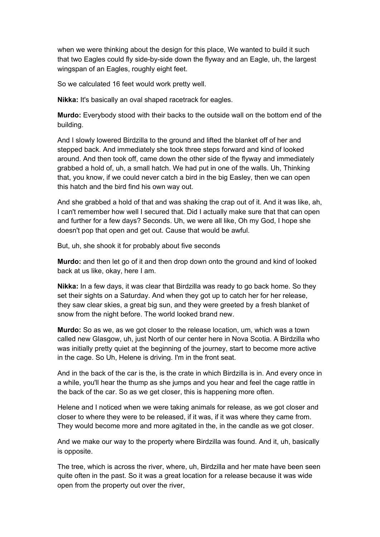when we were thinking about the design for this place, We wanted to build it such that two Eagles could fly side-by-side down the flyway and an Eagle, uh, the largest wingspan of an Eagles, roughly eight feet.

So we calculated 16 feet would work pretty well.

**Nikka:** It's basically an oval shaped racetrack for eagles.

**Murdo:** Everybody stood with their backs to the outside wall on the bottom end of the building.

And I slowly lowered Birdzilla to the ground and lifted the blanket off of her and stepped back. And immediately she took three steps forward and kind of looked around. And then took off, came down the other side of the flyway and immediately grabbed a hold of, uh, a small hatch. We had put in one of the walls. Uh, Thinking that, you know, if we could never catch a bird in the big Easley, then we can open this hatch and the bird find his own way out.

And she grabbed a hold of that and was shaking the crap out of it. And it was like, ah, I can't remember how well I secured that. Did I actually make sure that that can open and further for a few days? Seconds. Uh, we were all like, Oh my God, I hope she doesn't pop that open and get out. Cause that would be awful.

But, uh, she shook it for probably about five seconds

**Murdo:** and then let go of it and then drop down onto the ground and kind of looked back at us like, okay, here I am.

**Nikka:** In a few days, it was clear that Birdzilla was ready to go back home. So they set their sights on a Saturday. And when they got up to catch her for her release, they saw clear skies, a great big sun, and they were greeted by a fresh blanket of snow from the night before. The world looked brand new.

**Murdo:** So as we, as we got closer to the release location, um, which was a town called new Glasgow, uh, just North of our center here in Nova Scotia. A Birdzilla who was initially pretty quiet at the beginning of the journey, start to become more active in the cage. So Uh, Helene is driving. I'm in the front seat.

And in the back of the car is the, is the crate in which Birdzilla is in. And every once in a while, you'll hear the thump as she jumps and you hear and feel the cage rattle in the back of the car. So as we get closer, this is happening more often.

Helene and I noticed when we were taking animals for release, as we got closer and closer to where they were to be released, if it was, if it was where they came from. They would become more and more agitated in the, in the candle as we got closer.

And we make our way to the property where Birdzilla was found. And it, uh, basically is opposite.

The tree, which is across the river, where, uh, Birdzilla and her mate have been seen quite often in the past. So it was a great location for a release because it was wide open from the property out over the river,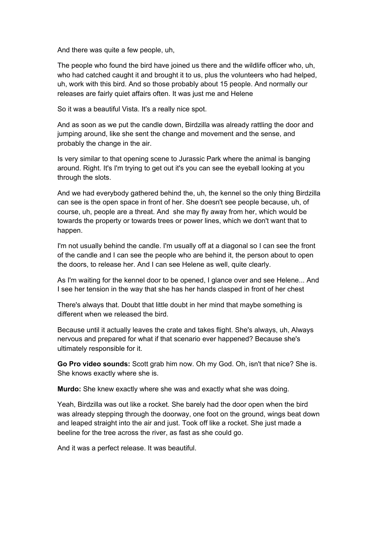And there was quite a few people, uh,

The people who found the bird have joined us there and the wildlife officer who, uh, who had catched caught it and brought it to us, plus the volunteers who had helped, uh, work with this bird. And so those probably about 15 people. And normally our releases are fairly quiet affairs often. It was just me and Helene

So it was a beautiful Vista. It's a really nice spot.

And as soon as we put the candle down, Birdzilla was already rattling the door and jumping around, like she sent the change and movement and the sense, and probably the change in the air.

Is very similar to that opening scene to Jurassic Park where the animal is banging around. Right. It's I'm trying to get out it's you can see the eyeball looking at you through the slots.

And we had everybody gathered behind the, uh, the kennel so the only thing Birdzilla can see is the open space in front of her. She doesn't see people because, uh, of course, uh, people are a threat. And she may fly away from her, which would be towards the property or towards trees or power lines, which we don't want that to happen.

I'm not usually behind the candle. I'm usually off at a diagonal so I can see the front of the candle and I can see the people who are behind it, the person about to open the doors, to release her. And I can see Helene as well, quite clearly.

As I'm waiting for the kennel door to be opened, I glance over and see Helene... And I see her tension in the way that she has her hands clasped in front of her chest

There's always that. Doubt that little doubt in her mind that maybe something is different when we released the bird.

Because until it actually leaves the crate and takes flight. She's always, uh, Always nervous and prepared for what if that scenario ever happened? Because she's ultimately responsible for it.

**Go Pro video sounds:** Scott grab him now. Oh my God. Oh, isn't that nice? She is. She knows exactly where she is.

**Murdo:** She knew exactly where she was and exactly what she was doing.

Yeah, Birdzilla was out like a rocket. She barely had the door open when the bird was already stepping through the doorway, one foot on the ground, wings beat down and leaped straight into the air and just. Took off like a rocket. She just made a beeline for the tree across the river, as fast as she could go.

And it was a perfect release. It was beautiful.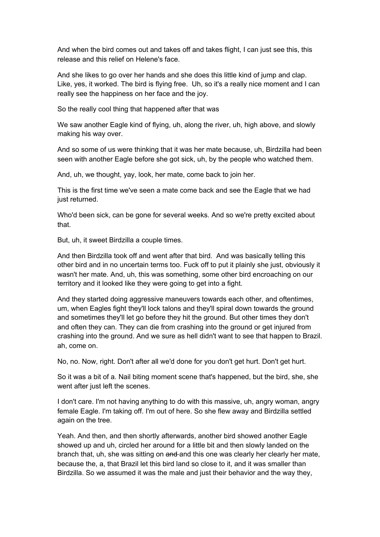And when the bird comes out and takes off and takes flight, I can just see this, this release and this relief on Helene's face.

And she likes to go over her hands and she does this little kind of jump and clap. Like, yes, it worked. The bird is flying free. Uh, so it's a really nice moment and I can really see the happiness on her face and the joy.

So the really cool thing that happened after that was

We saw another Eagle kind of flying, uh, along the river, uh, high above, and slowly making his way over.

And so some of us were thinking that it was her mate because, uh, Birdzilla had been seen with another Eagle before she got sick, uh, by the people who watched them.

And, uh, we thought, yay, look, her mate, come back to join her.

This is the first time we've seen a mate come back and see the Eagle that we had just returned.

Who'd been sick, can be gone for several weeks. And so we're pretty excited about that.

But, uh, it sweet Birdzilla a couple times.

And then Birdzilla took off and went after that bird. And was basically telling this other bird and in no uncertain terms too. Fuck off to put it plainly she just, obviously it wasn't her mate. And, uh, this was something, some other bird encroaching on our territory and it looked like they were going to get into a fight.

And they started doing aggressive maneuvers towards each other, and oftentimes, um, when Eagles fight they'll lock talons and they'll spiral down towards the ground and sometimes they'll let go before they hit the ground. But other times they don't and often they can. They can die from crashing into the ground or get injured from crashing into the ground. And we sure as hell didn't want to see that happen to Brazil. ah, come on.

No, no. Now, right. Don't after all we'd done for you don't get hurt. Don't get hurt.

So it was a bit of a. Nail biting moment scene that's happened, but the bird, she, she went after just left the scenes.

I don't care. I'm not having anything to do with this massive, uh, angry woman, angry female Eagle. I'm taking off. I'm out of here. So she flew away and Birdzilla settled again on the tree.

Yeah. And then, and then shortly afterwards, another bird showed another Eagle showed up and uh, circled her around for a little bit and then slowly landed on the branch that, uh, she was sitting on and and this one was clearly her clearly her mate, because the, a, that Brazil let this bird land so close to it, and it was smaller than Birdzilla. So we assumed it was the male and just their behavior and the way they,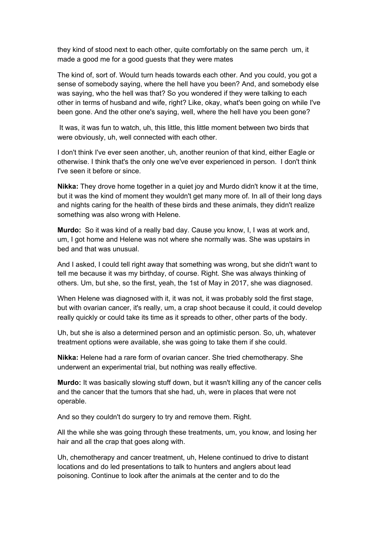they kind of stood next to each other, quite comfortably on the same perch um, it made a good me for a good guests that they were mates

The kind of, sort of. Would turn heads towards each other. And you could, you got a sense of somebody saying, where the hell have you been? And, and somebody else was saying, who the hell was that? So you wondered if they were talking to each other in terms of husband and wife, right? Like, okay, what's been going on while I've been gone. And the other one's saying, well, where the hell have you been gone?

It was, it was fun to watch, uh, this little, this little moment between two birds that were obviously, uh, well connected with each other.

I don't think I've ever seen another, uh, another reunion of that kind, either Eagle or otherwise. I think that's the only one we've ever experienced in person. I don't think I've seen it before or since.

**Nikka:** They drove home together in a quiet joy and Murdo didn't know it at the time, but it was the kind of moment they wouldn't get many more of. In all of their long days and nights caring for the health of these birds and these animals, they didn't realize something was also wrong with Helene.

**Murdo:** So it was kind of a really bad day. Cause you know, I, I was at work and, um, I got home and Helene was not where she normally was. She was upstairs in bed and that was unusual.

And I asked, I could tell right away that something was wrong, but she didn't want to tell me because it was my birthday, of course. Right. She was always thinking of others. Um, but she, so the first, yeah, the 1st of May in 2017, she was diagnosed.

When Helene was diagnosed with it, it was not, it was probably sold the first stage, but with ovarian cancer, it's really, um, a crap shoot because it could, it could develop really quickly or could take its time as it spreads to other, other parts of the body.

Uh, but she is also a determined person and an optimistic person. So, uh, whatever treatment options were available, she was going to take them if she could.

**Nikka:** Helene had a rare form of ovarian cancer. She tried chemotherapy. She underwent an experimental trial, but nothing was really effective.

**Murdo:** It was basically slowing stuff down, but it wasn't killing any of the cancer cells and the cancer that the tumors that she had, uh, were in places that were not operable.

And so they couldn't do surgery to try and remove them. Right.

All the while she was going through these treatments, um, you know, and losing her hair and all the crap that goes along with.

Uh, chemotherapy and cancer treatment, uh, Helene continued to drive to distant locations and do led presentations to talk to hunters and anglers about lead poisoning. Continue to look after the animals at the center and to do the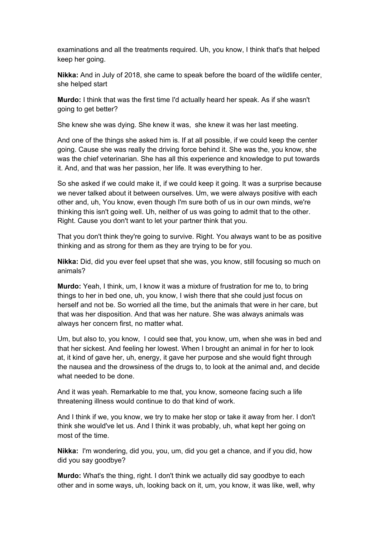examinations and all the treatments required. Uh, you know, I think that's that helped keep her going.

**Nikka:** And in July of 2018, she came to speak before the board of the wildlife center, she helped start

**Murdo:** I think that was the first time I'd actually heard her speak. As if she wasn't going to get better?

She knew she was dying. She knew it was, she knew it was her last meeting.

And one of the things she asked him is. If at all possible, if we could keep the center going. Cause she was really the driving force behind it. She was the, you know, she was the chief veterinarian. She has all this experience and knowledge to put towards it. And, and that was her passion, her life. It was everything to her.

So she asked if we could make it, if we could keep it going. It was a surprise because we never talked about it between ourselves. Um, we were always positive with each other and, uh, You know, even though I'm sure both of us in our own minds, we're thinking this isn't going well. Uh, neither of us was going to admit that to the other. Right. Cause you don't want to let your partner think that you.

That you don't think they're going to survive. Right. You always want to be as positive thinking and as strong for them as they are trying to be for you.

**Nikka:** Did, did you ever feel upset that she was, you know, still focusing so much on animals?

**Murdo:** Yeah, I think, um, I know it was a mixture of frustration for me to, to bring things to her in bed one, uh, you know, I wish there that she could just focus on herself and not be. So worried all the time, but the animals that were in her care, but that was her disposition. And that was her nature. She was always animals was always her concern first, no matter what.

Um, but also to, you know, I could see that, you know, um, when she was in bed and that her sickest. And feeling her lowest. When I brought an animal in for her to look at, it kind of gave her, uh, energy, it gave her purpose and she would fight through the nausea and the drowsiness of the drugs to, to look at the animal and, and decide what needed to be done.

And it was yeah. Remarkable to me that, you know, someone facing such a life threatening illness would continue to do that kind of work.

And I think if we, you know, we try to make her stop or take it away from her. I don't think she would've let us. And I think it was probably, uh, what kept her going on most of the time.

**Nikka:** I'm wondering, did you, you, um, did you get a chance, and if you did, how did you say goodbye?

**Murdo:** What's the thing, right. I don't think we actually did say goodbye to each other and in some ways, uh, looking back on it, um, you know, it was like, well, why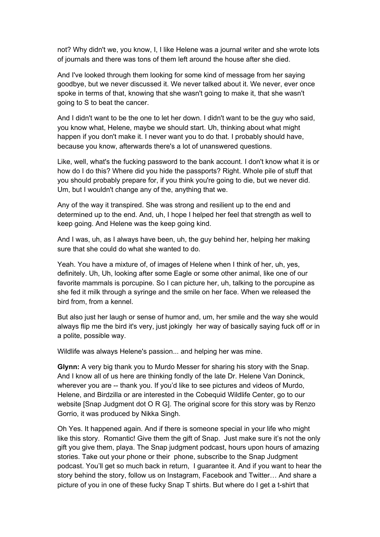not? Why didn't we, you know, I, I like Helene was a journal writer and she wrote lots of journals and there was tons of them left around the house after she died.

And I've looked through them looking for some kind of message from her saying goodbye, but we never discussed it. We never talked about it. We never, ever once spoke in terms of that, knowing that she wasn't going to make it, that she wasn't going to S to beat the cancer.

And I didn't want to be the one to let her down. I didn't want to be the guy who said, you know what, Helene, maybe we should start. Uh, thinking about what might happen if you don't make it. I never want you to do that. I probably should have, because you know, afterwards there's a lot of unanswered questions.

Like, well, what's the fucking password to the bank account. I don't know what it is or how do I do this? Where did you hide the passports? Right. Whole pile of stuff that you should probably prepare for, if you think you're going to die, but we never did. Um, but I wouldn't change any of the, anything that we.

Any of the way it transpired. She was strong and resilient up to the end and determined up to the end. And, uh, I hope I helped her feel that strength as well to keep going. And Helene was the keep going kind.

And I was, uh, as I always have been, uh, the guy behind her, helping her making sure that she could do what she wanted to do.

Yeah. You have a mixture of, of images of Helene when I think of her, uh, yes, definitely. Uh, Uh, looking after some Eagle or some other animal, like one of our favorite mammals is porcupine. So I can picture her, uh, talking to the porcupine as she fed it milk through a syringe and the smile on her face. When we released the bird from, from a kennel.

But also just her laugh or sense of humor and, um, her smile and the way she would always flip me the bird it's very, just jokingly her way of basically saying fuck off or in a polite, possible way.

Wildlife was always Helene's passion... and helping her was mine.

**Glynn:** A very big thank you to Murdo Messer for sharing his story with the Snap. And I know all of us here are thinking fondly of the late Dr. Helene Van Doninck, wherever you are -- thank you. If you'd like to see pictures and videos of Murdo, Helene, and Birdzilla or are interested in the Cobequid Wildlife Center, go to our website [Snap Judgment dot O R G]. The original score for this story was by Renzo Gorrio, it was produced by Nikka Singh.

Oh Yes. It happened again. And if there is someone special in your life who might like this story. Romantic! Give them the gift of Snap. Just make sure it's not the only gift you give them, playa. The Snap judgment podcast, hours upon hours of amazing stories. Take out your phone or their phone, subscribe to the Snap Judgment podcast. You'll get so much back in return, I guarantee it. And if you want to hear the story behind the story, follow us on Instagram, Facebook and Twitter… And share a picture of you in one of these fucky Snap T shirts. But where do I get a t-shirt that